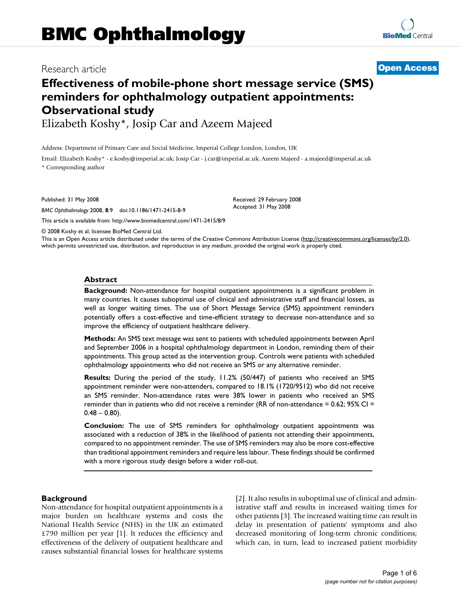## Research article **[Open Access](http://www.biomedcentral.com/info/about/charter/)**

# **Effectiveness of mobile-phone short message service (SMS) reminders for ophthalmology outpatient appointments: Observational study**

Elizabeth Koshy\*, Josip Car and Azeem Majeed

Address: Department of Primary Care and Social Medicine, Imperial College London, London, UK

Email: Elizabeth Koshy\* - e.koshy@imperial.ac.uk; Josip Car - j.car@imperial.ac.uk; Azeem Majeed - a.majeed@imperial.ac.uk \* Corresponding author

Published: 31 May 2008

*BMC Ophthalmology* 2008, **8**:9 doi:10.1186/1471-2415-8-9

[This article is available from: http://www.biomedcentral.com/1471-2415/8/9](http://www.biomedcentral.com/1471-2415/8/9)

Received: 29 February 2008 Accepted: 31 May 2008

© 2008 Koshy et al; licensee BioMed Central Ltd.

This is an Open Access article distributed under the terms of the Creative Commons Attribution License [\(http://creativecommons.org/licenses/by/2.0\)](http://creativecommons.org/licenses/by/2.0), which permits unrestricted use, distribution, and reproduction in any medium, provided the original work is properly cited.

#### **Abstract**

**Background:** Non-attendance for hospital outpatient appointments is a significant problem in many countries. It causes suboptimal use of clinical and administrative staff and financial losses, as well as longer waiting times. The use of Short Message Service (SMS) appointment reminders potentially offers a cost-effective and time-efficient strategy to decrease non-attendance and so improve the efficiency of outpatient healthcare delivery.

**Methods:** An SMS text message was sent to patients with scheduled appointments between April and September 2006 in a hospital ophthalmology department in London, reminding them of their appointments. This group acted as the intervention group. Controls were patients with scheduled ophthalmology appointments who did not receive an SMS or any alternative reminder.

**Results:** During the period of the study, 11.2% (50/447) of patients who received an SMS appointment reminder were non-attenders, compared to 18.1% (1720/9512) who did not receive an SMS reminder. Non-attendance rates were 38% lower in patients who received an SMS reminder than in patients who did not receive a reminder (RR of non-attendance = 0.62; 95% CI =  $0.48 - 0.80$ ).

**Conclusion:** The use of SMS reminders for ophthalmology outpatient appointments was associated with a reduction of 38% in the likelihood of patients not attending their appointments, compared to no appointment reminder. The use of SMS reminders may also be more cost-effective than traditional appointment reminders and require less labour. These findings should be confirmed with a more rigorous study design before a wider roll-out.

#### **Background**

Non-attendance for hospital outpatient appointments is a major burden on healthcare systems and costs the National Health Service (NHS) in the UK an estimated £790 million per year [1]. It reduces the efficiency and effectiveness of the delivery of outpatient healthcare and causes substantial financial losses for healthcare systems [2]. It also results in suboptimal use of clinical and administrative staff and results in increased waiting times for other patients [3]. The increased waiting time can result in delay in presentation of patients' symptoms and also decreased monitoring of long-term chronic conditions; which can, in turn, lead to increased patient morbidity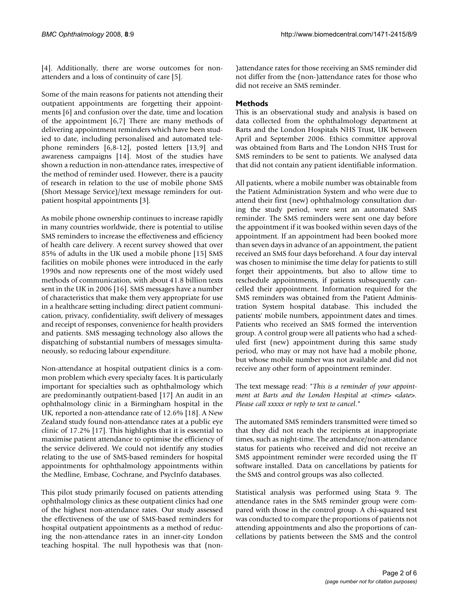[4]. Additionally, there are worse outcomes for nonattenders and a loss of continuity of care [5].

Some of the main reasons for patients not attending their outpatient appointments are forgetting their appointments [6] and confusion over the date, time and location of the appointment [6,7] There are many methods of delivering appointment reminders which have been studied to date, including personalised and automated telephone reminders [6,8-12], posted letters [13,9] and awareness campaigns [14]. Most of the studies have shown a reduction in non-attendance rates, irrespective of the method of reminder used. However, there is a paucity of research in relation to the use of mobile phone SMS (Short Message Service)/text message reminders for outpatient hospital appointments [3].

As mobile phone ownership continues to increase rapidly in many countries worldwide, there is potential to utilise SMS reminders to increase the effectiveness and efficiency of health care delivery. A recent survey showed that over 85% of adults in the UK used a mobile phone [15] SMS facilities on mobile phones were introduced in the early 1990s and now represents one of the most widely used methods of communication, with about 41.8 billion texts sent in the UK in 2006 [16]. SMS messages have a number of characteristics that make them very appropriate for use in a healthcare setting including: direct patient communication, privacy, confidentiality, swift delivery of messages and receipt of responses, convenience for health providers and patients. SMS messaging technology also allows the dispatching of substantial numbers of messages simultaneously, so reducing labour expenditure.

Non-attendance at hospital outpatient clinics is a common problem which every specialty faces. It is particularly important for specialties such as ophthalmology which are predominantly outpatient-based [17] An audit in an ophthalmology clinic in a Birmingham hospital in the UK, reported a non-attendance rate of 12.6% [18]. A New Zealand study found non-attendance rates at a public eye clinic of 17.2% [17]. This highlights that it is essential to maximise patient attendance to optimise the efficiency of the service delivered. We could not identify any studies relating to the use of SMS-based reminders for hospital appointments for ophthalmology appointments within the Medline, Embase, Cochrane, and PsycInfo databases.

This pilot study primarily focused on patients attending ophthalmology clinics as these outpatient clinics had one of the highest non-attendance rates. Our study assessed the effectiveness of the use of SMS-based reminders for hospital outpatient appointments as a method of reducing the non-attendance rates in an inner-city London teaching hospital. The null hypothesis was that (non)attendance rates for those receiving an SMS reminder did not differ from the (non-)attendance rates for those who did not receive an SMS reminder.

### **Methods**

This is an observational study and analysis is based on data collected from the ophthalmology department at Barts and the London Hospitals NHS Trust, UK between April and September 2006. Ethics committee approval was obtained from Barts and The London NHS Trust for SMS reminders to be sent to patients. We analysed data that did not contain any patient identifiable information.

All patients, where a mobile number was obtainable from the Patient Administration System and who were due to attend their first (new) ophthalmology consultation during the study period, were sent an automated SMS reminder. The SMS reminders were sent one day before the appointment if it was booked within seven days of the appointment. If an appointment had been booked more than seven days in advance of an appointment, the patient received an SMS four days beforehand. A four day interval was chosen to minimise the time delay for patients to still forget their appointments, but also to allow time to reschedule appointments, if patients subsequently cancelled their appointment. Information required for the SMS reminders was obtained from the Patient Administration System hospital database. This included the patients' mobile numbers, appointment dates and times. Patients who received an SMS formed the intervention group. A control group were all patients who had a scheduled first (new) appointment during this same study period, who may or may not have had a mobile phone, but whose mobile number was not available and did not receive any other form of appointment reminder.

The text message read: "*This is a reminder of your appointment at Barts and the London Hospital at <time> <date>. Please call xxxxx or reply to text to cancel*."

The automated SMS reminders transmitted were timed so that they did not reach the recipients at inappropriate times, such as night-time. The attendance/non-attendance status for patients who received and did not receive an SMS appointment reminder were recorded using the IT software installed. Data on cancellations by patients for the SMS and control groups was also collected.

Statistical analysis was performed using Stata 9. The attendance rates in the SMS reminder group were compared with those in the control group. A chi-squared test was conducted to compare the proportions of patients not attending appointments and also the proportions of cancellations by patients between the SMS and the control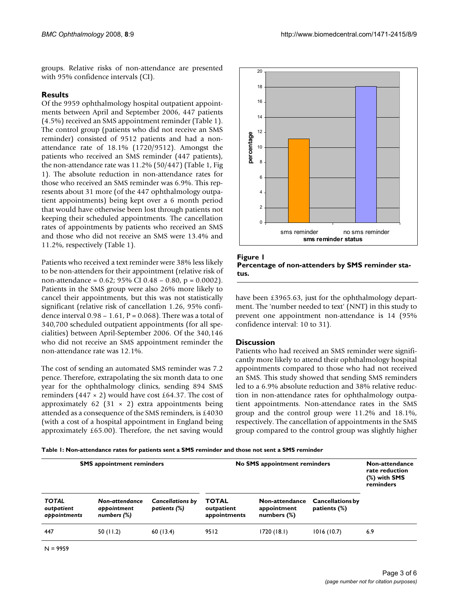groups. Relative risks of non-attendance are presented with 95% confidence intervals (CI).

### **Results**

Of the 9959 ophthalmology hospital outpatient appointments between April and September 2006, 447 patients (4.5%) received an SMS appointment reminder (Table 1). The control group (patients who did not receive an SMS reminder) consisted of 9512 patients and had a nonattendance rate of 18.1% (1720/9512). Amongst the patients who received an SMS reminder (447 patients), the non-attendance rate was 11.2% (50/447) (Table 1, Fig 1). The absolute reduction in non-attendance rates for those who received an SMS reminder was 6.9%. This represents about 31 more (of the 447 ophthalmology outpatient appointments) being kept over a 6 month period that would have otherwise been lost through patients not keeping their scheduled appointments. The cancellation rates of appointments by patients who received an SMS and those who did not receive an SMS were 13.4% and 11.2%, respectively (Table 1).

Patients who received a text reminder were 38% less likely to be non-attenders for their appointment (relative risk of non-attendance = 0.62; 95% CI 0.48 – 0.80, p = 0.0002). Patients in the SMS group were also 26% more likely to cancel their appointments, but this was not statistically significant (relative risk of cancellation 1.26, 95% confidence interval  $0.98 - 1.61$ ,  $P = 0.068$ ). There was a total of 340,700 scheduled outpatient appointments (for all specialities) between April-September 2006. Of the 340,146 who did not receive an SMS appointment reminder the non-attendance rate was 12.1%.

The cost of sending an automated SMS reminder was 7.2 pence. Therefore, extrapolating the six month data to one year for the ophthalmology clinics, sending 894 SMS reminders (447  $\times$  2) would have cost £64.37. The cost of approximately 62 (31  $\times$  2) extra appointments being attended as a consequence of the SMS reminders, is £4030 (with a cost of a hospital appointment in England being approximately £65.00). Therefore, the net saving would



**Figure 1 Percentage of non-attenders by SMS reminder status.**

have been £3965.63, just for the ophthalmology department. The 'number needed to text' (NNT) in this study to prevent one appointment non-attendance is 14 (95% confidence interval: 10 to 31).

#### **Discussion**

Patients who had received an SMS reminder were significantly more likely to attend their ophthalmology hospital appointments compared to those who had not received an SMS. This study showed that sending SMS reminders led to a 6.9% absolute reduction and 38% relative reduction in non-attendance rates for ophthalmology outpatient appointments. Non-attendance rates in the SMS group and the control group were 11.2% and 18.1%, respectively. The cancellation of appointments in the SMS group compared to the control group was slightly higher

**Table 1: Non-attendance rates for patients sent a SMS reminder and those not sent a SMS reminder**

| <b>SMS</b> appointment reminders           |                                              |                                         | No SMS appointment reminders               |                                                 |                                         | Non-attendance<br>rate reduction<br>(%) with SMS<br>reminders |
|--------------------------------------------|----------------------------------------------|-----------------------------------------|--------------------------------------------|-------------------------------------------------|-----------------------------------------|---------------------------------------------------------------|
| <b>TOTAL</b><br>outpatient<br>appointments | Non-attendance<br>appointment<br>numbers (%) | <b>Cancellations by</b><br>patients (%) | <b>TOTAL</b><br>outpatient<br>appointments | Non-attendance<br>appointment<br>numbers $(\%)$ | <b>Cancellations by</b><br>patients (%) |                                                               |
| 447                                        | 50(11.2)                                     | 60(13.4)                                | 9512                                       | 1720(18.1)                                      | 1016(10.7)                              | 6.9                                                           |

 $N = 9959$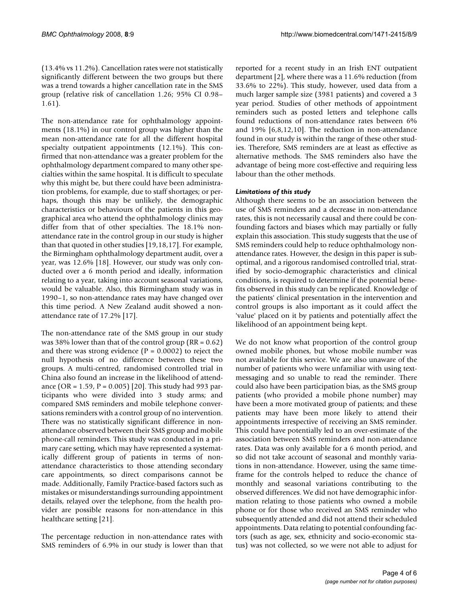(13.4% vs 11.2%). Cancellation rates were not statistically significantly different between the two groups but there was a trend towards a higher cancellation rate in the SMS group (relative risk of cancellation 1.26; 95% CI 0.98– 1.61).

The non-attendance rate for ophthalmology appointments (18.1%) in our control group was higher than the mean non-attendance rate for all the different hospital specialty outpatient appointments (12.1%). This confirmed that non-attendance was a greater problem for the ophthalmology department compared to many other specialties within the same hospital. It is difficult to speculate why this might be, but there could have been administration problems, for example, due to staff shortages; or perhaps, though this may be unlikely, the demographic characteristics or behaviours of the patients in this geographical area who attend the ophthalmology clinics may differ from that of other specialties. The 18.1% nonattendance rate in the control group in our study is higher than that quoted in other studies [19,18,17]. For example, the Birmingham ophthalmology department audit, over a year, was 12.6% [18]. However, our study was only conducted over a 6 month period and ideally, information relating to a year, taking into account seasonal variations, would be valuable. Also, this Birmingham study was in 1990–1, so non-attendance rates may have changed over this time period. A New Zealand audit showed a nonattendance rate of 17.2% [17].

The non-attendance rate of the SMS group in our study was 38% lower than that of the control group (RR = 0.62) and there was strong evidence  $(P = 0.0002)$  to reject the null hypothesis of no difference between these two groups. A multi-centred, randomised controlled trial in China also found an increase in the likelihood of attendance (OR = 1.59, P = 0.005) [20]. This study had 993 participants who were divided into 3 study arms; and compared SMS reminders and mobile telephone conversations reminders with a control group of no intervention. There was no statistically significant difference in nonattendance observed between their SMS group and mobile phone-call reminders. This study was conducted in a primary care setting, which may have represented a systematically different group of patients in terms of nonattendance characteristics to those attending secondary care appointments, so direct comparisons cannot be made. Additionally, Family Practice-based factors such as mistakes or misunderstandings surrounding appointment details, relayed over the telephone, from the health provider are possible reasons for non-attendance in this healthcare setting [21].

The percentage reduction in non-attendance rates with SMS reminders of 6.9% in our study is lower than that

reported for a recent study in an Irish ENT outpatient department [2], where there was a 11.6% reduction (from 33.6% to 22%). This study, however, used data from a much larger sample size (3981 patients) and covered a 3 year period. Studies of other methods of appointment reminders such as posted letters and telephone calls found reductions of non-attendance rates between 6% and 19% [6,8,12,10]. The reduction in non-attendance found in our study is within the range of these other studies. Therefore, SMS reminders are at least as effective as alternative methods. The SMS reminders also have the advantage of being more cost-effective and requiring less labour than the other methods.

#### *Limitations of this study*

Although there seems to be an association between the use of SMS reminders and a decrease in non-attendance rates, this is not necessarily causal and there could be confounding factors and biases which may partially or fully explain this association. This study suggests that the use of SMS reminders could help to reduce ophthalmology nonattendance rates. However, the design in this paper is suboptimal, and a rigorous randomised controlled trial, stratified by socio-demographic characteristics and clinical conditions, is required to determine if the potential benefits observed in this study can be replicated. Knowledge of the patients' clinical presentation in the intervention and control groups is also important as it could affect the 'value' placed on it by patients and potentially affect the likelihood of an appointment being kept.

We do not know what proportion of the control group owned mobile phones, but whose mobile number was not available for this service. We are also unaware of the number of patients who were unfamiliar with using textmessaging and so unable to read the reminder. There could also have been participation bias, as the SMS group patients (who provided a mobile phone number) may have been a more motivated group of patients; and these patients may have been more likely to attend their appointments irrespective of receiving an SMS reminder. This could have potentially led to an over-estimate of the association between SMS reminders and non-attendance rates. Data was only available for a 6 month period, and so did not take account of seasonal and monthly variations in non-attendance. However, using the same timeframe for the controls helped to reduce the chance of monthly and seasonal variations contributing to the observed differences. We did not have demographic information relating to those patients who owned a mobile phone or for those who received an SMS reminder who subsequently attended and did not attend their scheduled appointments. Data relating to potential confounding factors (such as age, sex, ethnicity and socio-economic status) was not collected, so we were not able to adjust for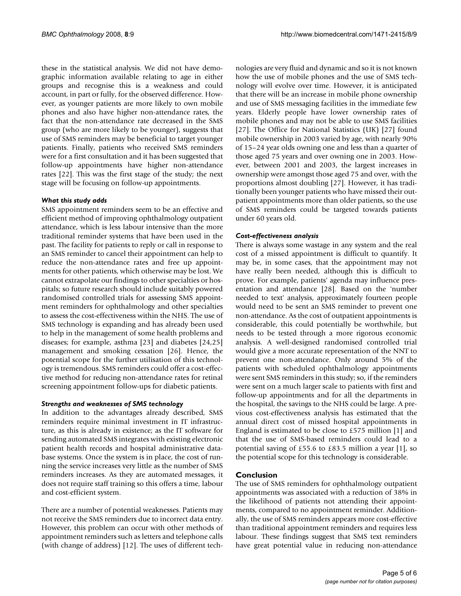these in the statistical analysis. We did not have demographic information available relating to age in either groups and recognise this is a weakness and could account, in part or fully, for the observed difference. However, as younger patients are more likely to own mobile phones and also have higher non-attendance rates, the fact that the non-attendance rate decreased in the SMS group (who are more likely to be younger), suggests that use of SMS reminders may be beneficial to target younger patients. Finally, patients who received SMS reminders were for a first consultation and it has been suggested that follow-up appointments have higher non-attendance rates [22]. This was the first stage of the study; the next stage will be focusing on follow-up appointments.

#### *What this study adds*

SMS appointment reminders seem to be an effective and efficient method of improving ophthalmology outpatient attendance, which is less labour intensive than the more traditional reminder systems that have been used in the past. The facility for patients to reply or call in response to an SMS reminder to cancel their appointment can help to reduce the non-attendance rates and free up appointments for other patients, which otherwise may be lost. We cannot extrapolate our findings to other specialties or hospitals; so future research should include suitably powered randomised controlled trials for assessing SMS appointment reminders for ophthalmology and other specialties to assess the cost-effectiveness within the NHS. The use of SMS technology is expanding and has already been used to help in the management of some health problems and diseases; for example, asthma [23] and diabetes [24,25] management and smoking cessation [26]. Hence, the potential scope for the further utilisation of this technology is tremendous. SMS reminders could offer a cost-effective method for reducing non-attendance rates for retinal screening appointment follow-ups for diabetic patients.

#### *Strengths and weaknesses of SMS technology*

In addition to the advantages already described, SMS reminders require minimal investment in IT infrastructure, as this is already in existence; as the IT software for sending automated SMS integrates with existing electronic patient health records and hospital administrative database systems. Once the system is in place, the cost of running the service increases very little as the number of SMS reminders increases. As they are automated messages, it does not require staff training so this offers a time, labour and cost-efficient system.

There are a number of potential weaknesses. Patients may not receive the SMS reminders due to incorrect data entry. However, this problem can occur with other methods of appointment reminders such as letters and telephone calls (with change of address) [12]. The uses of different technologies are very fluid and dynamic and so it is not known how the use of mobile phones and the use of SMS technology will evolve over time. However, it is anticipated that there will be an increase in mobile phone ownership and use of SMS messaging facilities in the immediate few years. Elderly people have lower ownership rates of mobile phones and may not be able to use SMS facilities [27]. The Office for National Statistics (UK) [27] found mobile ownership in 2003 varied by age, with nearly 90% of 15–24 year olds owning one and less than a quarter of those aged 75 years and over owning one in 2003. However, between 2001 and 2003, the largest increases in ownership were amongst those aged 75 and over, with the proportions almost doubling [27]. However, it has traditionally been younger patients who have missed their outpatient appointments more than older patients, so the use of SMS reminders could be targeted towards patients under 60 years old.

#### *Cost-effectiveness analysis*

There is always some wastage in any system and the real cost of a missed appointment is difficult to quantify. It may be, in some cases, that the appointment may not have really been needed, although this is difficult to prove. For example, patients' agenda may influence presentation and attendance [28]. Based on the 'number needed to text' analysis, approximately fourteen people would need to be sent an SMS reminder to prevent one non-attendance. As the cost of outpatient appointments is considerable, this could potentially be worthwhile, but needs to be tested through a more rigorous economic analysis. A well-designed randomised controlled trial would give a more accurate representation of the NNT to prevent one non-attendance. Only around 5% of the patients with scheduled ophthalmology appointments were sent SMS reminders in this study; so, if the reminders were sent on a much larger scale to patients with first and follow-up appointments and for all the departments in the hospital, the savings to the NHS could be large. A previous cost-effectiveness analysis has estimated that the annual direct cost of missed hospital appointments in England is estimated to be close to £575 million [1] and that the use of SMS-based reminders could lead to a potential saving of £55.6 to £83.5 million a year [1], so the potential scope for this technology is considerable.

#### **Conclusion**

The use of SMS reminders for ophthalmology outpatient appointments was associated with a reduction of 38% in the likelihood of patients not attending their appointments, compared to no appointment reminder. Additionally, the use of SMS reminders appears more cost-effective than traditional appointment reminders and requires less labour. These findings suggest that SMS text reminders have great potential value in reducing non-attendance